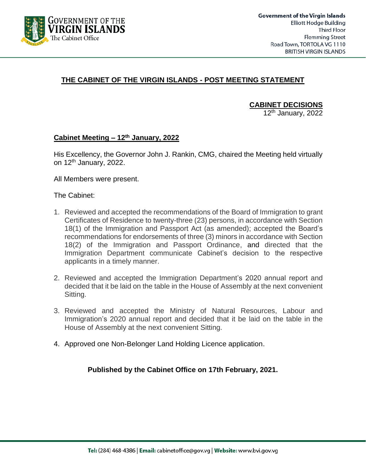

## **THE CABINET OF THE VIRGIN ISLANDS - POST MEETING STATEMENT**

**CABINET DECISIONS**

 $12<sup>th</sup>$  January, 2022

## **Cabinet Meeting – 12th January, 2022**

His Excellency, the Governor John J. Rankin, CMG, chaired the Meeting held virtually on 12<sup>th</sup> January, 2022.

All Members were present.

The Cabinet:

- 1. Reviewed and accepted the recommendations of the Board of Immigration to grant Certificates of Residence to twenty-three (23) persons, in accordance with Section 18(1) of the Immigration and Passport Act (as amended); accepted the Board's recommendations for endorsements of three (3) minors in accordance with Section 18(2) of the Immigration and Passport Ordinance, and directed that the Immigration Department communicate Cabinet's decision to the respective applicants in a timely manner.
- 2. Reviewed and accepted the Immigration Department's 2020 annual report and decided that it be laid on the table in the House of Assembly at the next convenient Sitting.
- 3. Reviewed and accepted the Ministry of Natural Resources, Labour and Immigration's 2020 annual report and decided that it be laid on the table in the House of Assembly at the next convenient Sitting.
- 4. Approved one Non-Belonger Land Holding Licence application.

**Published by the Cabinet Office on 17th February, 2021.**